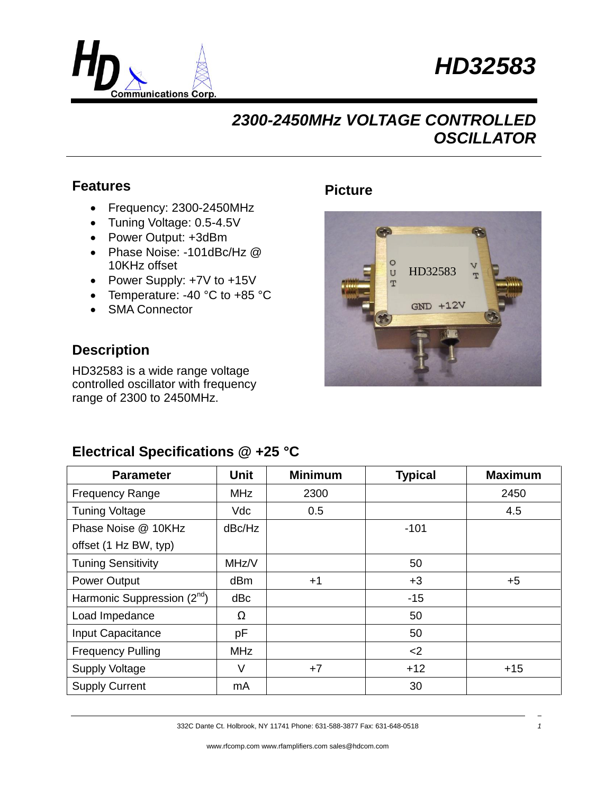



### **Features**

- Frequency: 2300-2450MHz
- Tuning Voltage: 0.5-4.5V
- Power Output: +3dBm
- Phase Noise: -101dBc/Hz @ 10KHz offset
- Power Supply: +7V to +15V
- Temperature: -40 °C to +85 °C
- SMA Connector

#### **Description**

HD32583 is a wide range voltage controlled oscillator with frequency range of 2300 to 2450MHz.

#### **Picture**



### **Electrical Specifications @ +25 °C**

| <b>Parameter</b>                | <b>Unit</b> | <b>Minimum</b> | <b>Typical</b> | <b>Maximum</b> |
|---------------------------------|-------------|----------------|----------------|----------------|
| <b>Frequency Range</b>          | <b>MHz</b>  | 2300           |                | 2450           |
| <b>Tuning Voltage</b>           | <b>Vdc</b>  | 0.5            |                | 4.5            |
| Phase Noise @ 10KHz             | dBc/Hz      |                | $-101$         |                |
| offset (1 Hz BW, typ)           |             |                |                |                |
| <b>Tuning Sensitivity</b>       | MHz/V       |                | 50             |                |
| <b>Power Output</b>             | dBm         | $+1$           | $+3$           | $+5$           |
| Harmonic Suppression $(2^{nd})$ | dBc         |                | $-15$          |                |
| Load Impedance                  | Ω           |                | 50             |                |
| Input Capacitance               | рF          |                | 50             |                |
| <b>Frequency Pulling</b>        | <b>MHz</b>  |                | $<$ 2          |                |
| <b>Supply Voltage</b>           | V           | $+7$           | $+12$          | $+15$          |
| <b>Supply Current</b>           | mA          |                | 30             |                |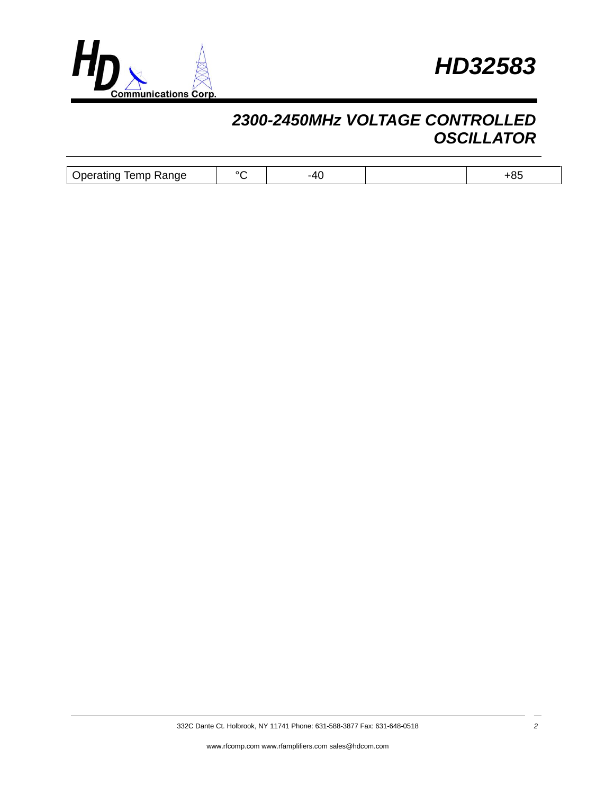



| Range<br>$\sim$<br>Jperatino<br>Terno | $\lambda$ | $-1$ |  |
|---------------------------------------|-----------|------|--|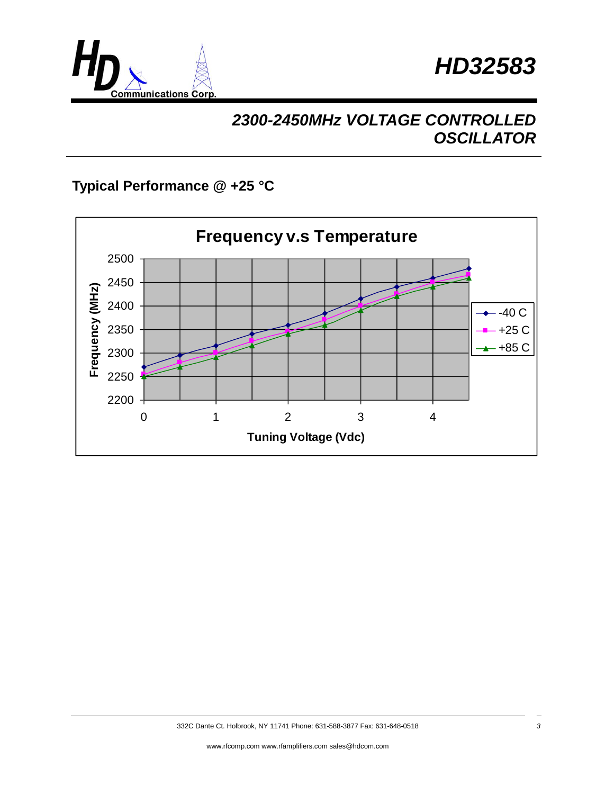



### **Typical Performance @ +25 °C**

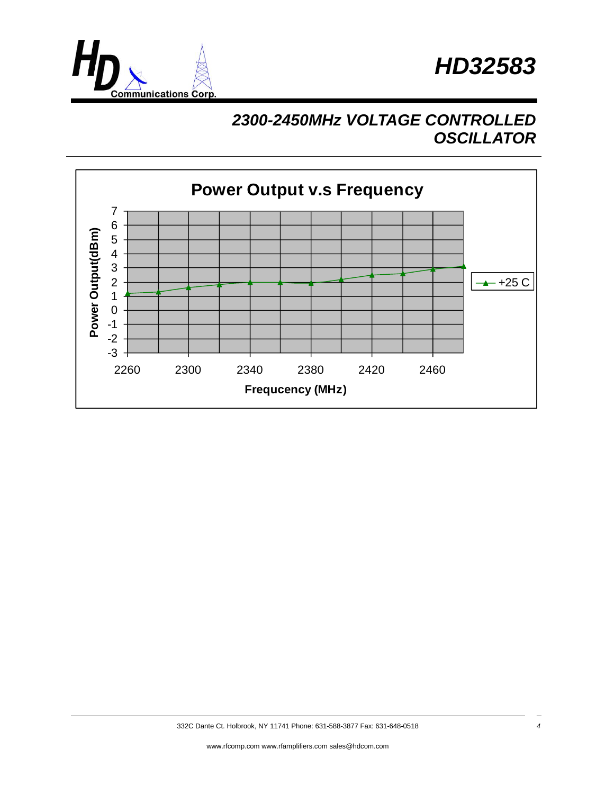